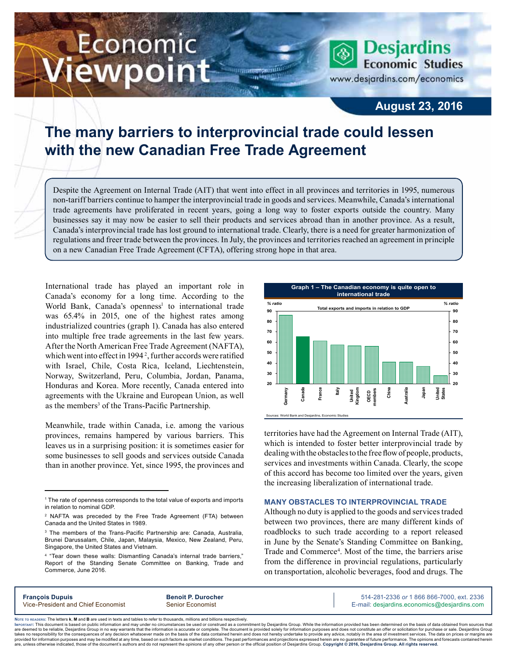# Economic iewpoint

**Economic Studies** www.desjardins.com/economics

**Desjardins** 

### **August 23, 2016**

## **The many barriers to interprovincial trade could lessen with the new Canadian Free Trade Agreement**

m

Despite the Agreement on Internal Trade (AIT) that went into effect in all provinces and territories in 1995, numerous non-tariff barriers continue to hamper the interprovincial trade in goods and services. Meanwhile, Canada's international trade agreements have proliferated in recent years, going a long way to foster exports outside the country. Many businesses say it may now be easier to sell their products and services abroad than in another province. As a result, Canada's interprovincial trade has lost ground to international trade. Clearly, there is a need for greater harmonization of regulations and freer trade between the provinces. In July, the provinces and territories reached an agreement in principle on a new Canadian Free Trade Agreement (CFTA), offering strong hope in that area.

International trade has played an important role in Canada's economy for a long time. According to the World Bank, Canada's openness<sup>1</sup> to international trade was 65.4% in 2015, one of the highest rates among industrialized countries (graph 1). Canada has also entered into multiple free trade agreements in the last few years. After the North American Free Trade Agreement (NAFTA), which went into effect in 1994<sup>2</sup>, further accords were ratified with Israel, Chile, Costa Rica, Iceland, Liechtenstein, Norway, Switzerland, Peru, Columbia, Jordan, Panama, Honduras and Korea. More recently, Canada entered into agreements with the Ukraine and European Union, as well as the members<sup>3</sup> of the Trans-Pacific Partnership.

Meanwhile, trade within Canada, i.e. among the various provinces, remains hampered by various barriers. This leaves us in a surprising position: it is sometimes easier for some businesses to sell goods and services outside Canada than in another province. Yet, since 1995, the provinces and



territories have had the Agreement on Internal Trade (AIT), which is intended to foster better interprovincial trade by dealing with the obstacles to the free flow of people, products, services and investments within Canada. Clearly, the scope of this accord has become too limited over the years, given the increasing liberalization of international trade.

#### **MANY OBSTACLES TO INTERPROVINCIAL TRADE**

Although no duty is applied to the goods and services traded between two provinces, there are many different kinds of roadblocks to such trade according to a report released in June by the Senate's Standing Committee on Banking, Trade and Commerce<sup>4</sup>. Most of the time, the barriers arise from the difference in provincial regulations, particularly on transportation, alcoholic beverages, food and drugs. The

| <b>François Dupuis</b>             | <b>Benoit P. Durocher</b> | 514-281-2336 or 1 866 866-7000. ext. 2336   |
|------------------------------------|---------------------------|---------------------------------------------|
| Vice-President and Chief Economist | <b>Senior Economist</b>   | E-mail: desjardins.economics@desjardins.com |
|                                    |                           |                                             |

Noте то келоекs: The letters **k, M** and **B** are used in texts and tables to refer to thousands, millions and billions respectively.<br>Імроктлит: This document is based on public information and may under no circumstances be are deemed to be reliable. Desiardins Group in no way warrants that the information is accurate or complete. The document is provided solely for information purposes and does not constitute an offer or solicitation for pur takes no responsibility for the consequences of any decision whatsoever made on the basis of the data contained herein and does not hereby undertake to provide any advice, notably in the area of investment services. The da .<br>are, unless otherwise indicated, those of the document's authors and do not represent the opinions of any other person or the official position of Desjardins Group. Copyright @ 2016, Desjardins Group. All rights reserved

<sup>1</sup> The rate of openness corresponds to the total value of exports and imports in relation to nominal GDP.

<sup>2</sup> NAFTA was preceded by the Free Trade Agreement (FTA) between Canada and the United States in 1989.

<sup>&</sup>lt;sup>3</sup> The members of the Trans-Pacific Partnership are: Canada, Australia, Brunei Darussalam, Chile, Japan, Malaysia, Mexico, New Zealand, Peru, Singapore, the United States and Vietnam.

<sup>4</sup> "Tear down these walls: Dismantling Canada's internal trade barriers," Report of the Standing Senate Committee on Banking, Trade and Commerce, June 2016.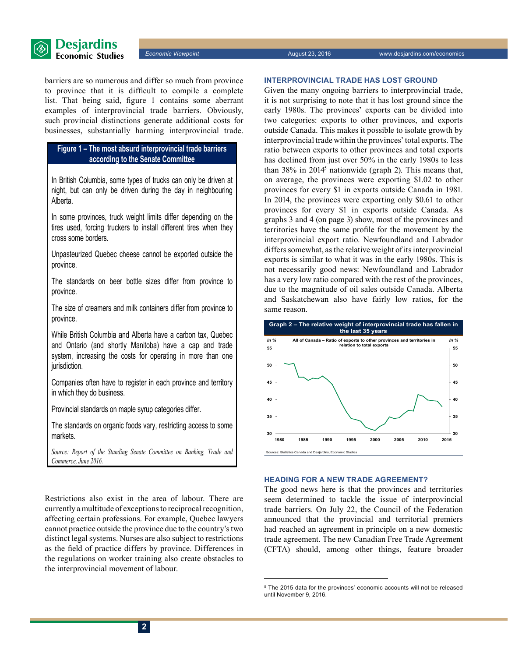

barriers are so numerous and differ so much from province to province that it is difficult to compile a complete list. That being said, figure 1 contains some aberrant examples of interprovincial trade barriers. Obviously, such provincial distinctions generate additional costs for businesses, substantially harming interprovincial trade.

#### **Figure 1 – The most absurd interprovincial trade barriers according to the Senate Committee**

In British Columbia, some types of trucks can only be driven at night, but can only be driven during the day in neighbouring Alberta.

In some provinces, truck weight limits differ depending on the tires used, forcing truckers to install different tires when they cross some borders.

Unpasteurized Quebec cheese cannot be exported outside the province.

The standards on beer bottle sizes differ from province to province.

The size of creamers and milk containers differ from province to province.

While British Columbia and Alberta have a carbon tax, Quebec and Ontario (and shortly Manitoba) have a cap and trade system, increasing the costs for operating in more than one jurisdiction.

Companies often have to register in each province and territory in which they do business.

Provincial standards on maple syrup categories differ.

The standards on organic foods vary, restricting access to some markets.

*Source: Report of the Standing Senate Committee on Banking, Trade and Commerce, June 2016.* 

Restrictions also exist in the area of labour. There are currently a multitude of exceptions to reciprocal recognition, affecting certain professions. For example, Quebec lawyers cannot practice outside the province due to the country'stwo distinct legal systems. Nurses are also subject to restrictions as the field of practice differs by province. Differences in the regulations on worker training also create obstacles to the interprovincial movement of labour.

#### **INTERPROVINCIAL TRADE HAS LOST GROUND**

Given the many ongoing barriers to interprovincial trade, it is not surprising to note that it has lost ground since the early 1980s. The provinces' exports can be divided into two categories: exports to other provinces, and exports outside Canada. This makes it possible to isolate growth by interprovincial trade within the provinces'total exports. The ratio between exports to other provinces and total exports has declined from just over 50% in the early 1980s to less than 38% in 20145 nationwide (graph 2). This means that, on average, the provinces were exporting \$1.02 to other provinces for every \$1 in exports outside Canada in 1981. In 2014, the provinces were exporting only \$0.61 to other provinces for every \$1 in exports outside Canada. As graphs 3 and 4 (on page 3) show, most of the provinces and territories have the same profile for the movement by the interprovincial export ratio. Newfoundland and Labrador differs somewhat, as the relative weight of its interprovincial exports is similar to what it was in the early 1980s. This is not necessarily good news: Newfoundland and Labrador has a very low ratio compared with the rest of the provinces, due to the magnitude of oil sales outside Canada. Alberta and Saskatchewan also have fairly low ratios, for the same reason.



#### **HEADING FOR A NEW TRADE AGREEMENT?**

The good news here is that the provinces and territories seem determined to tackle the issue of interprovincial trade barriers. On July 22, the Council of the Federation announced that the provincial and territorial premiers had reached an agreement in principle on a new domestic trade agreement. The new Canadian Free Trade Agreement (CFTA) should, among other things, feature broader

<sup>5</sup> The 2015 data for the provinces' economic accounts will not be released until November 9, 2016.